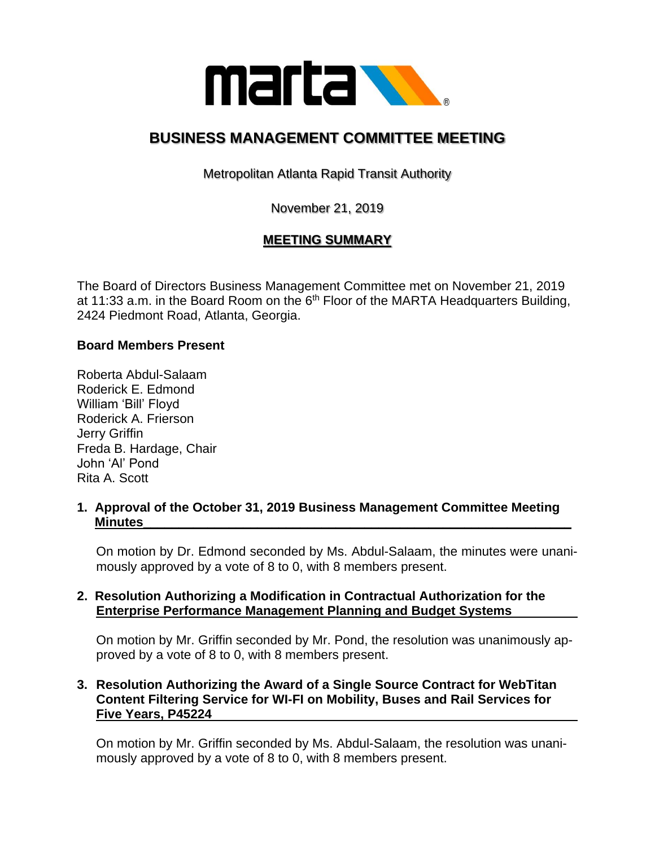

# **BUSINESS MANAGEMENT COMMITTEE MEETING**

Metropolitan Atlanta Rapid Transit Authority

November 21, 2019

# **MEETING SUMMARY**

The Board of Directors Business Management Committee met on November 21, 2019 at 11:33 a.m. in the Board Room on the  $6<sup>th</sup>$  Floor of the MARTA Headquarters Building, 2424 Piedmont Road, Atlanta, Georgia.

#### **Board Members Present**

Roberta Abdul-Salaam Roderick E. Edmond William 'Bill' Floyd Roderick A. Frierson Jerry Griffin Freda B. Hardage, Chair John 'Al' Pond Rita A. Scott

#### **1. Approval of the October 31, 2019 Business Management Committee Meeting Minutes\_\_\_\_\_\_\_\_\_\_\_\_\_\_\_\_\_\_\_\_\_\_\_\_\_\_\_\_\_\_\_\_\_\_\_\_\_\_\_\_\_\_\_\_\_\_\_\_\_\_\_\_\_\_\_\_\_\_\_\_**

On motion by Dr. Edmond seconded by Ms. Abdul-Salaam, the minutes were unanimously approved by a vote of 8 to 0, with 8 members present.

### **2. Resolution Authorizing a Modification in Contractual Authorization for the Enterprise Performance Management Planning and Budget Systems**

On motion by Mr. Griffin seconded by Mr. Pond, the resolution was unanimously approved by a vote of 8 to 0, with 8 members present.

# **3. Resolution Authorizing the Award of a Single Source Contract for WebTitan Content Filtering Service for WI-FI on Mobility, Buses and Rail Services for Five Years, P45224**

On motion by Mr. Griffin seconded by Ms. Abdul-Salaam, the resolution was unanimously approved by a vote of 8 to 0, with 8 members present.